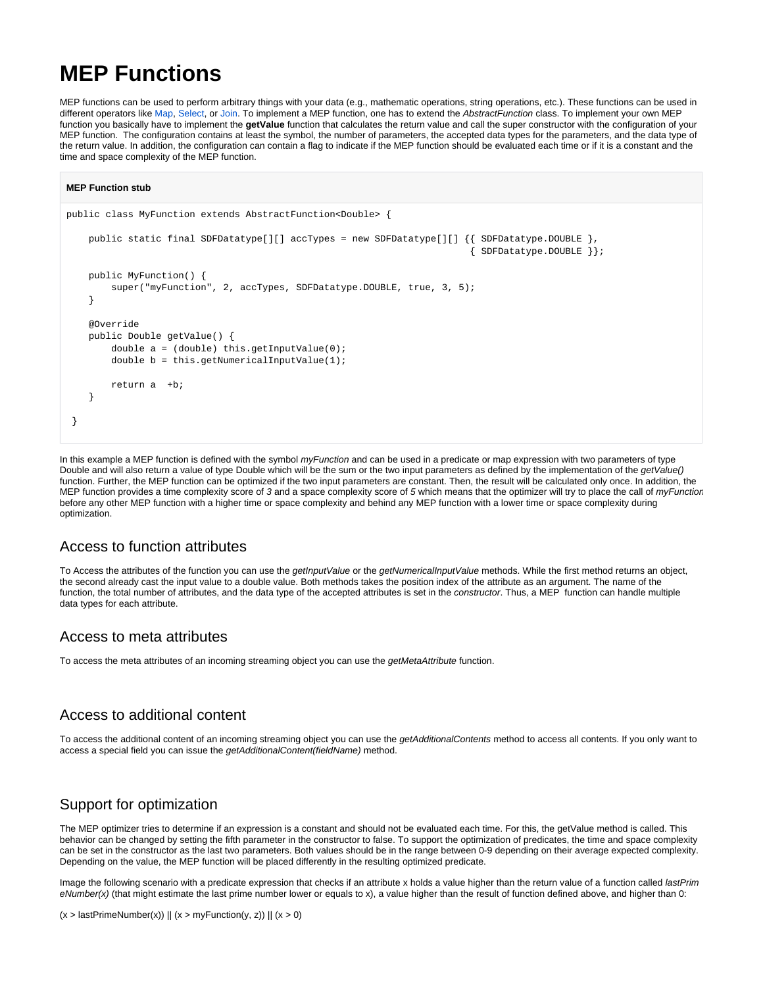# **MEP Functions**

MEP functions can be used to perform arbitrary things with your data (e.g., mathematic operations, string operations, etc.). These functions can be used in different operators like [Map,](https://wiki.odysseus.informatik.uni-oldenburg.de/display/ODYSSEUS/Map+operator) [Select,](https://wiki.odysseus.informatik.uni-oldenburg.de/display/ODYSSEUS/Select+operator) or [Join.](https://wiki.odysseus.informatik.uni-oldenburg.de/display/ODYSSEUS/Join+operator) To implement a MEP function, one has to extend the AbstractFunction class. To implement your own MEP function you basically have to implement the **getValue** function that calculates the return value and call the super constructor with the configuration of your MEP function. The configuration contains at least the symbol, the number of parameters, the accepted data types for the parameters, and the data type of the return value. In addition, the configuration can contain a flag to indicate if the MEP function should be evaluated each time or if it is a constant and the time and space complexity of the MEP function.

#### **MEP Function stub**

```
public class MyFunction extends AbstractFunction<Double> {
    public static final SDFDatatype[][] accTypes = new SDFDatatype[][] {{ SDFDatatype.DOUBLE },
                                                                           { SDFDatatype.DOUBLE }};
    public MyFunction() {
        super("myFunction", 2, accTypes, SDFDatatype.DOUBLE, true, 3, 5);
}
    @Override
    public Double getValue() {
        double a = (double) this.getInputValue(0);
        double b = this.getNumericalInputValue(1);
        return a +b;
    }
 }
```
In this example a MEP function is defined with the symbol myFunction and can be used in a predicate or map expression with two parameters of type Double and will also return a value of type Double which will be the sum or the two input parameters as defined by the implementation of the getValue() function. Further, the MEP function can be optimized if the two input parameters are constant. Then, the result will be calculated only once. In addition, the MEP function provides a time complexity score of 3 and a space complexity score of 5 which means that the optimizer will try to place the call of myFunctior before any other MEP function with a higher time or space complexity and behind any MEP function with a lower time or space complexity during optimization.

#### Access to function attributes

To Access the attributes of the function you can use the *getInputValue* or the *getNumericalInputValue* methods. While the first method returns an object, the second already cast the input value to a double value. Both methods takes the position index of the attribute as an argument. The name of the function, the total number of attributes, and the data type of the accepted attributes is set in the constructor. Thus, a MEP function can handle multiple data types for each attribute.

### Access to meta attributes

To access the meta attributes of an incoming streaming object you can use the getMetaAttribute function.

### Access to additional content

To access the additional content of an incoming streaming object you can use the getAdditionalContents method to access all contents. If you only want to access a special field you can issue the getAdditionalContent(fieldName) method.

## Support for optimization

The MEP optimizer tries to determine if an expression is a constant and should not be evaluated each time. For this, the getValue method is called. This behavior can be changed by setting the fifth parameter in the constructor to false. To support the optimization of predicates, the time and space complexity can be set in the constructor as the last two parameters. Both values should be in the range between 0-9 depending on their average expected complexity. Depending on the value, the MEP function will be placed differently in the resulting optimized predicate.

Image the following scenario with a predicate expression that checks if an attribute x holds a value higher than the return value of a function called lastPrim  $e$ Number(x) (that might estimate the last prime number lower or equals to x), a value higher than the result of function defined above, and higher than 0:

 $(x > lastPrimeNumber(x)) || (x > myFunction(y, z)) || (x > 0)$